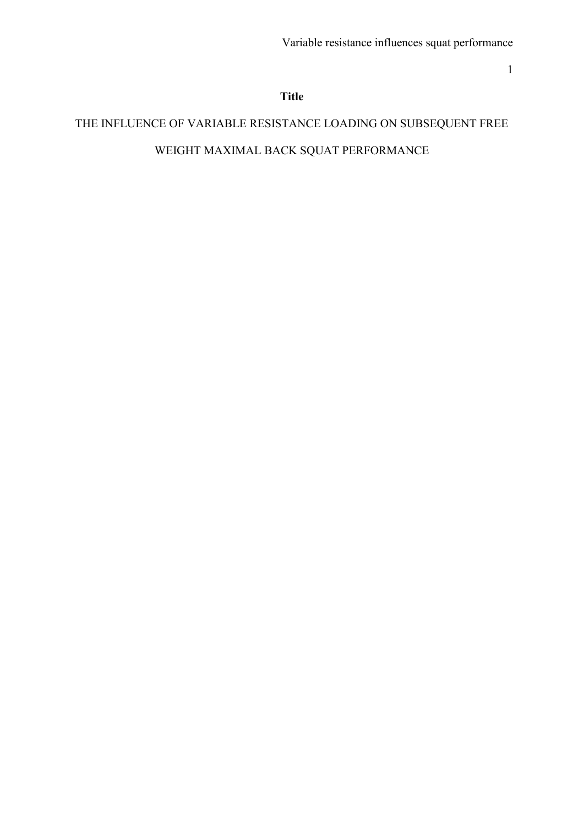# **Title**

# THE INFLUENCE OF VARIABLE RESISTANCE LOADING ON SUBSEQUENT FREE WEIGHT MAXIMAL BACK SQUAT PERFORMANCE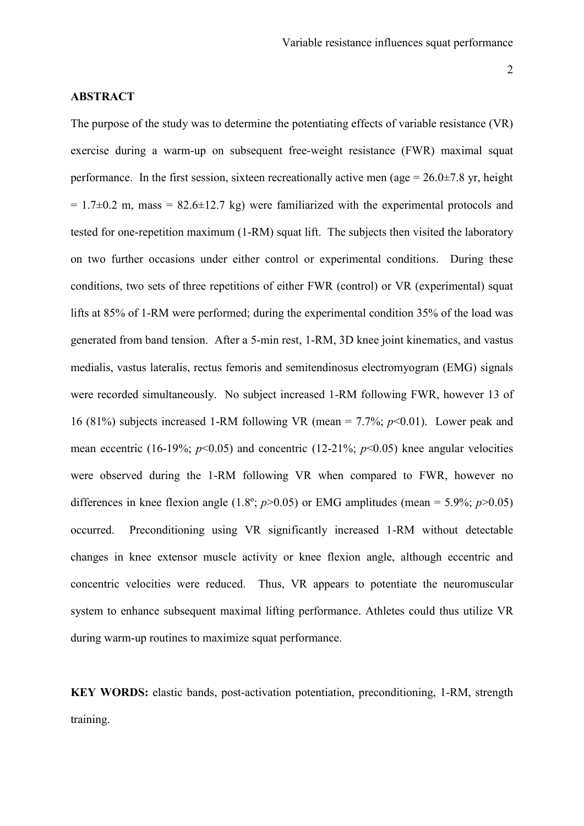#### **ABSTRACT**

The purpose of the study was to determine the potentiating effects of variable resistance (VR) exercise during a warm-up on subsequent free-weight resistance (FWR) maximal squat performance. In the first session, sixteen recreationally active men (age =  $26.0\pm7.8$  yr, height  $= 1.7\pm0.2$  m, mass  $= 82.6\pm12.7$  kg) were familiarized with the experimental protocols and tested for one-repetition maximum (1-RM) squat lift. The subjects then visited the laboratory on two further occasions under either control or experimental conditions. During these conditions, two sets of three repetitions of either FWR (control) or VR (experimental) squat lifts at 85% of 1-RM were performed; during the experimental condition 35% of the load was generated from band tension. After a 5-min rest, 1-RM, 3D knee joint kinematics, and vastus medialis, vastus lateralis, rectus femoris and semitendinosus electromyogram (EMG) signals were recorded simultaneously. No subject increased 1-RM following FWR, however 13 of 16 (81%) subjects increased 1-RM following VR (mean = 7.7%; *p*<0.01). Lower peak and mean eccentric (16-19%;  $p<0.05$ ) and concentric (12-21%;  $p<0.05$ ) knee angular velocities were observed during the 1-RM following VR when compared to FWR, however no differences in knee flexion angle  $(1.8^\circ; p>0.05)$  or EMG amplitudes (mean = 5.9%;  $p>0.05$ ) occurred. Preconditioning using VR significantly increased 1-RM without detectable changes in knee extensor muscle activity or knee flexion angle, although eccentric and concentric velocities were reduced. Thus, VR appears to potentiate the neuromuscular system to enhance subsequent maximal lifting performance. Athletes could thus utilize VR during warm-up routines to maximize squat performance.

**KEY WORDS:** elastic bands, post-activation potentiation, preconditioning, 1-RM, strength training.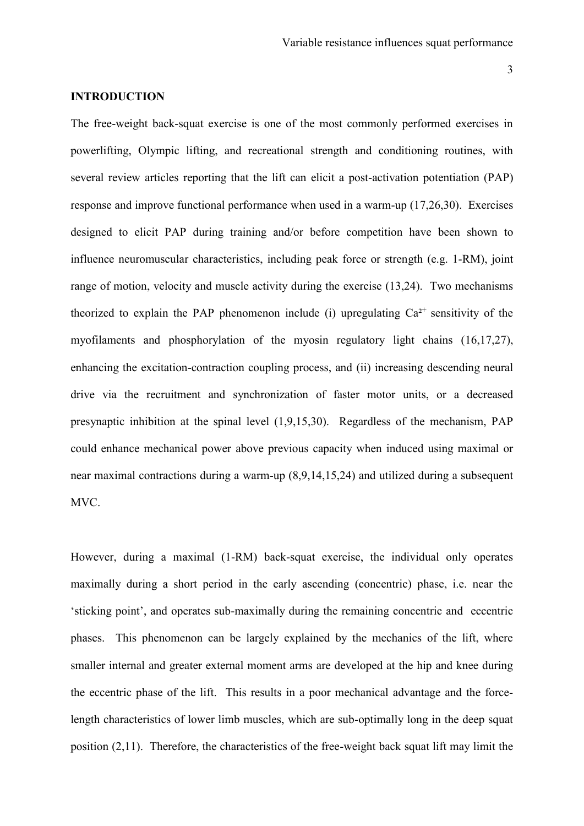# **INTRODUCTION**

The free-weight back-squat exercise is one of the most commonly performed exercises in powerlifting, Olympic lifting, and recreational strength and conditioning routines, with several review articles reporting that the lift can elicit a post-activation potentiation (PAP) response and improve functional performance when used in a warm-up (17,26,30). Exercises designed to elicit PAP during training and/or before competition have been shown to influence neuromuscular characteristics, including peak force or strength (e.g. 1-RM), joint range of motion, velocity and muscle activity during the exercise (13,24). Two mechanisms theorized to explain the PAP phenomenon include (i) upregulating  $Ca<sup>2+</sup>$  sensitivity of the myofilaments and phosphorylation of the myosin regulatory light chains (16,17,27), enhancing the excitation-contraction coupling process, and (ii) increasing descending neural drive via the recruitment and synchronization of faster motor units, or a decreased presynaptic inhibition at the spinal level (1,9,15,30). Regardless of the mechanism, PAP could enhance mechanical power above previous capacity when induced using maximal or near maximal contractions during a warm-up (8,9,14,15,24) and utilized during a subsequent MVC.

However, during a maximal (1-RM) back-squat exercise, the individual only operates maximally during a short period in the early ascending (concentric) phase, i.e. near the 'sticking point', and operates sub-maximally during the remaining concentric and eccentric phases. This phenomenon can be largely explained by the mechanics of the lift, where smaller internal and greater external moment arms are developed at the hip and knee during the eccentric phase of the lift. This results in a poor mechanical advantage and the forcelength characteristics of lower limb muscles, which are sub-optimally long in the deep squat position (2,11). Therefore, the characteristics of the free-weight back squat lift may limit the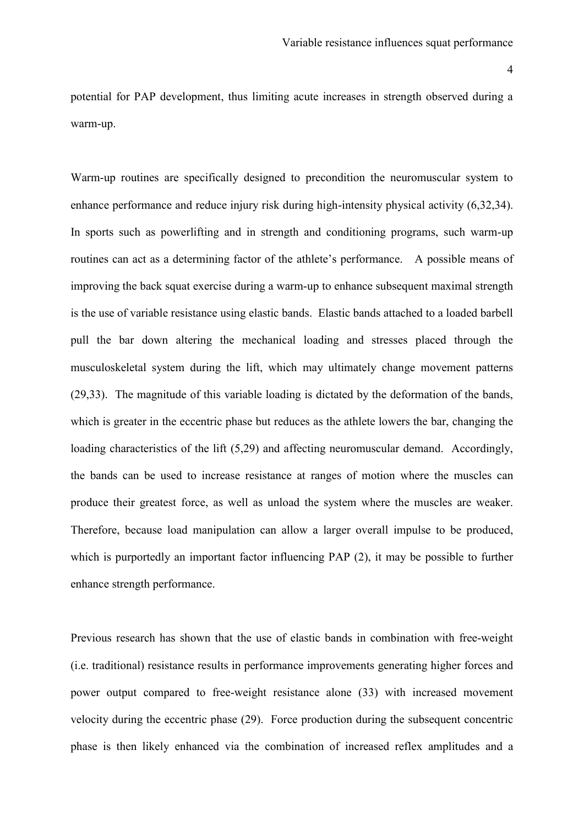potential for PAP development, thus limiting acute increases in strength observed during a warm-up.

Warm-up routines are specifically designed to precondition the neuromuscular system to enhance performance and reduce injury risk during high-intensity physical activity (6,32,34). In sports such as powerlifting and in strength and conditioning programs, such warm-up routines can act as a determining factor of the athlete's performance. A possible means of improving the back squat exercise during a warm-up to enhance subsequent maximal strength is the use of variable resistance using elastic bands. Elastic bands attached to a loaded barbell pull the bar down altering the mechanical loading and stresses placed through the musculoskeletal system during the lift, which may ultimately change movement patterns (29,33). The magnitude of this variable loading is dictated by the deformation of the bands, which is greater in the eccentric phase but reduces as the athlete lowers the bar, changing the loading characteristics of the lift (5,29) and affecting neuromuscular demand. Accordingly, the bands can be used to increase resistance at ranges of motion where the muscles can produce their greatest force, as well as unload the system where the muscles are weaker. Therefore, because load manipulation can allow a larger overall impulse to be produced, which is purportedly an important factor influencing PAP (2), it may be possible to further enhance strength performance.

Previous research has shown that the use of elastic bands in combination with free-weight (i.e. traditional) resistance results in performance improvements generating higher forces and power output compared to free-weight resistance alone (33) with increased movement velocity during the eccentric phase (29). Force production during the subsequent concentric phase is then likely enhanced via the combination of increased reflex amplitudes and a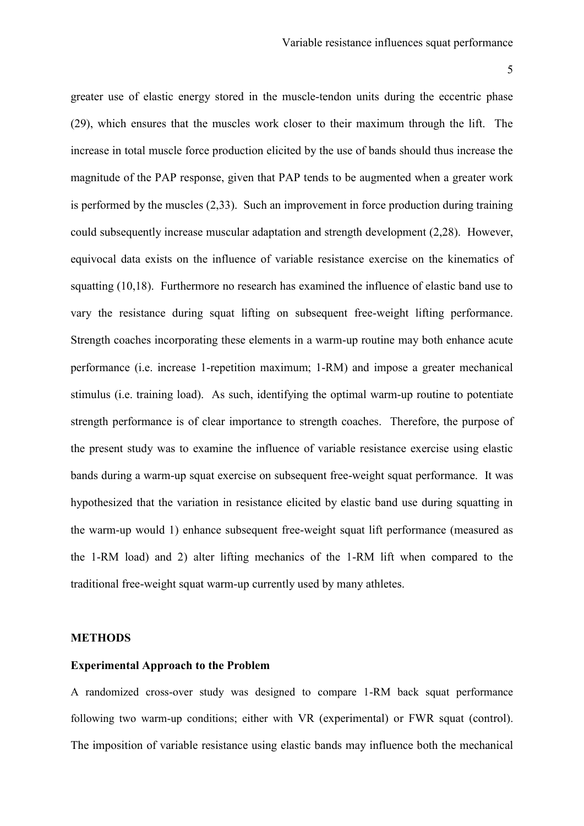greater use of elastic energy stored in the muscle-tendon units during the eccentric phase (29), which ensures that the muscles work closer to their maximum through the lift. The increase in total muscle force production elicited by the use of bands should thus increase the magnitude of the PAP response, given that PAP tends to be augmented when a greater work is performed by the muscles (2,33). Such an improvement in force production during training could subsequently increase muscular adaptation and strength development (2,28). However, equivocal data exists on the influence of variable resistance exercise on the kinematics of squatting (10,18). Furthermore no research has examined the influence of elastic band use to vary the resistance during squat lifting on subsequent free-weight lifting performance. Strength coaches incorporating these elements in a warm-up routine may both enhance acute performance (i.e. increase 1-repetition maximum; 1-RM) and impose a greater mechanical stimulus (i.e. training load). As such, identifying the optimal warm-up routine to potentiate strength performance is of clear importance to strength coaches. Therefore, the purpose of the present study was to examine the influence of variable resistance exercise using elastic bands during a warm-up squat exercise on subsequent free-weight squat performance. It was hypothesized that the variation in resistance elicited by elastic band use during squatting in the warm-up would 1) enhance subsequent free-weight squat lift performance (measured as the 1-RM load) and 2) alter lifting mechanics of the 1-RM lift when compared to the traditional free-weight squat warm-up currently used by many athletes.

#### **METHODS**

#### **Experimental Approach to the Problem**

A randomized cross-over study was designed to compare 1-RM back squat performance following two warm-up conditions; either with VR (experimental) or FWR squat (control). The imposition of variable resistance using elastic bands may influence both the mechanical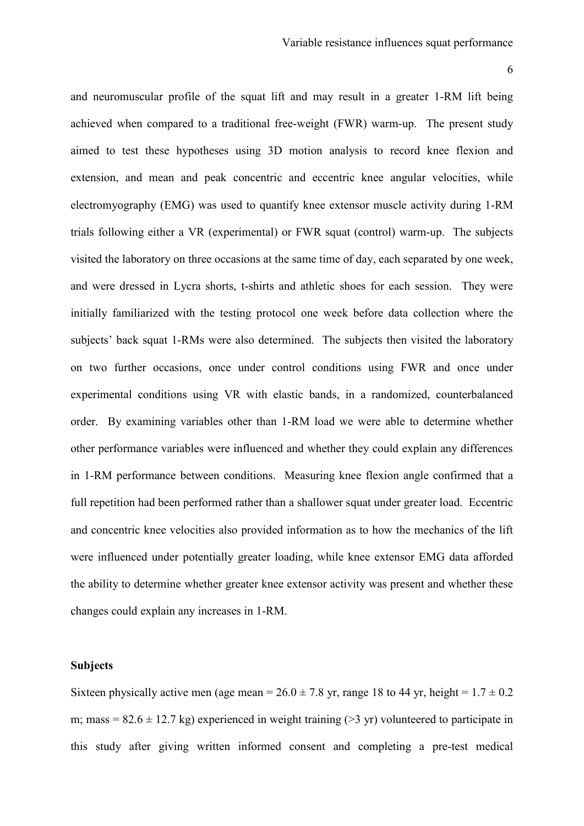and neuromuscular profile of the squat lift and may result in a greater 1-RM lift being achieved when compared to a traditional free-weight (FWR) warm-up. The present study aimed to test these hypotheses using 3D motion analysis to record knee flexion and extension, and mean and peak concentric and eccentric knee angular velocities, while electromyography (EMG) was used to quantify knee extensor muscle activity during 1-RM trials following either a VR (experimental) or FWR squat (control) warm-up. The subjects visited the laboratory on three occasions at the same time of day, each separated by one week, and were dressed in Lycra shorts, t-shirts and athletic shoes for each session. They were initially familiarized with the testing protocol one week before data collection where the subjects' back squat 1-RMs were also determined. The subjects then visited the laboratory on two further occasions, once under control conditions using FWR and once under experimental conditions using VR with elastic bands, in a randomized, counterbalanced order. By examining variables other than 1-RM load we were able to determine whether other performance variables were influenced and whether they could explain any differences in 1-RM performance between conditions. Measuring knee flexion angle confirmed that a full repetition had been performed rather than a shallower squat under greater load. Eccentric and concentric knee velocities also provided information as to how the mechanics of the lift were influenced under potentially greater loading, while knee extensor EMG data afforded the ability to determine whether greater knee extensor activity was present and whether these changes could explain any increases in 1-RM.

#### **Subjects**

Sixteen physically active men (age mean =  $26.0 \pm 7.8$  yr, range 18 to 44 yr, height =  $1.7 \pm 0.2$ m; mass =  $82.6 \pm 12.7$  kg) experienced in weight training ( $>3$  yr) volunteered to participate in this study after giving written informed consent and completing a pre-test medical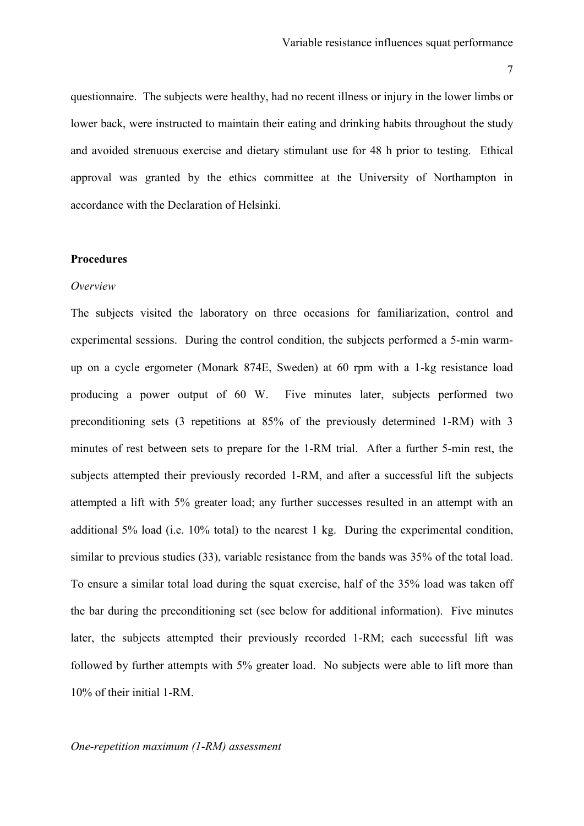questionnaire. The subjects were healthy, had no recent illness or injury in the lower limbs or lower back, were instructed to maintain their eating and drinking habits throughout the study and avoided strenuous exercise and dietary stimulant use for 48 h prior to testing. Ethical approval was granted by the ethics committee at the University of Northampton in accordance with the Declaration of Helsinki.

#### **Procedures**

#### *Overview*

The subjects visited the laboratory on three occasions for familiarization, control and experimental sessions. During the control condition, the subjects performed a 5-min warmup on a cycle ergometer (Monark 874E, Sweden) at 60 rpm with a 1-kg resistance load producing a power output of 60 W. Five minutes later, subjects performed two preconditioning sets (3 repetitions at 85% of the previously determined 1-RM) with 3 minutes of rest between sets to prepare for the 1-RM trial. After a further 5-min rest, the subjects attempted their previously recorded 1-RM, and after a successful lift the subjects attempted a lift with 5% greater load; any further successes resulted in an attempt with an additional 5% load (i.e. 10% total) to the nearest 1 kg. During the experimental condition, similar to previous studies (33), variable resistance from the bands was 35% of the total load. To ensure a similar total load during the squat exercise, half of the 35% load was taken off the bar during the preconditioning set (see below for additional information). Five minutes later, the subjects attempted their previously recorded 1-RM; each successful lift was followed by further attempts with 5% greater load. No subjects were able to lift more than 10% of their initial 1-RM.

#### *One-repetition maximum (1-RM) assessment*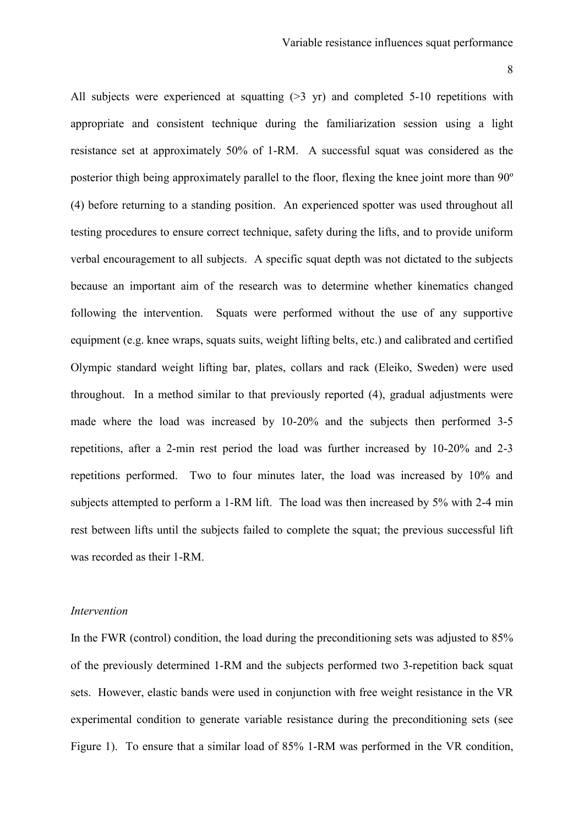All subjects were experienced at squatting (>3 yr) and completed 5-10 repetitions with appropriate and consistent technique during the familiarization session using a light resistance set at approximately 50% of 1-RM. A successful squat was considered as the posterior thigh being approximately parallel to the floor, flexing the knee joint more than 90º (4) before returning to a standing position. An experienced spotter was used throughout all testing procedures to ensure correct technique, safety during the lifts, and to provide uniform verbal encouragement to all subjects. A specific squat depth was not dictated to the subjects because an important aim of the research was to determine whether kinematics changed following the intervention. Squats were performed without the use of any supportive equipment (e.g. knee wraps, squats suits, weight lifting belts, etc.) and calibrated and certified Olympic standard weight lifting bar, plates, collars and rack (Eleiko, Sweden) were used throughout. In a method similar to that previously reported (4), gradual adjustments were made where the load was increased by 10-20% and the subjects then performed 3-5 repetitions, after a 2-min rest period the load was further increased by 10-20% and 2-3 repetitions performed. Two to four minutes later, the load was increased by 10% and subjects attempted to perform a 1-RM lift. The load was then increased by 5% with 2-4 min rest between lifts until the subjects failed to complete the squat; the previous successful lift was recorded as their 1-RM.

#### *Intervention*

In the FWR (control) condition, the load during the preconditioning sets was adjusted to 85% of the previously determined 1-RM and the subjects performed two 3-repetition back squat sets. However, elastic bands were used in conjunction with free weight resistance in the VR experimental condition to generate variable resistance during the preconditioning sets (see Figure 1). To ensure that a similar load of 85% 1-RM was performed in the VR condition,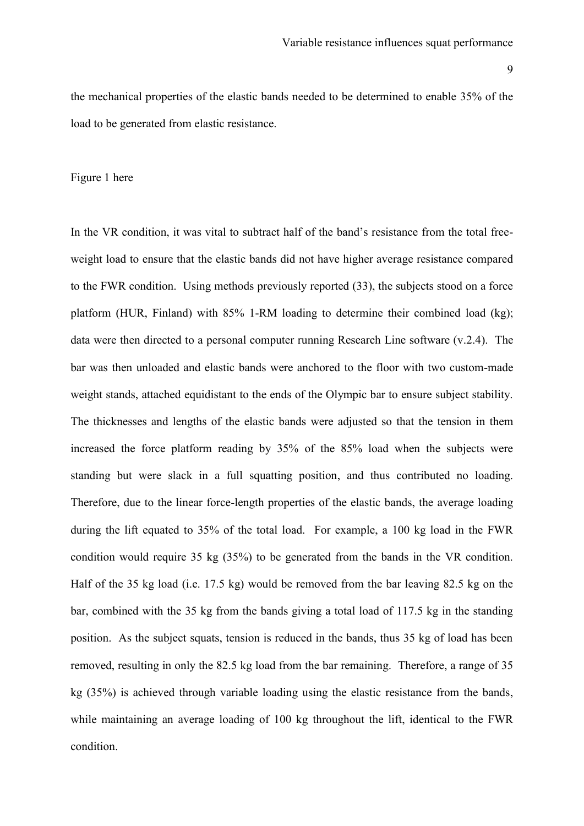the mechanical properties of the elastic bands needed to be determined to enable 35% of the load to be generated from elastic resistance.

# Figure 1 here

In the VR condition, it was vital to subtract half of the band's resistance from the total freeweight load to ensure that the elastic bands did not have higher average resistance compared to the FWR condition. Using methods previously reported (33), the subjects stood on a force platform (HUR, Finland) with 85% 1-RM loading to determine their combined load (kg); data were then directed to a personal computer running Research Line software (v.2.4). The bar was then unloaded and elastic bands were anchored to the floor with two custom-made weight stands, attached equidistant to the ends of the Olympic bar to ensure subject stability. The thicknesses and lengths of the elastic bands were adjusted so that the tension in them increased the force platform reading by 35% of the 85% load when the subjects were standing but were slack in a full squatting position, and thus contributed no loading. Therefore, due to the linear force-length properties of the elastic bands, the average loading during the lift equated to 35% of the total load. For example, a 100 kg load in the FWR condition would require 35 kg (35%) to be generated from the bands in the VR condition. Half of the 35 kg load (i.e. 17.5 kg) would be removed from the bar leaving 82.5 kg on the bar, combined with the 35 kg from the bands giving a total load of 117.5 kg in the standing position. As the subject squats, tension is reduced in the bands, thus 35 kg of load has been removed, resulting in only the 82.5 kg load from the bar remaining. Therefore, a range of 35 kg (35%) is achieved through variable loading using the elastic resistance from the bands, while maintaining an average loading of 100 kg throughout the lift, identical to the FWR condition.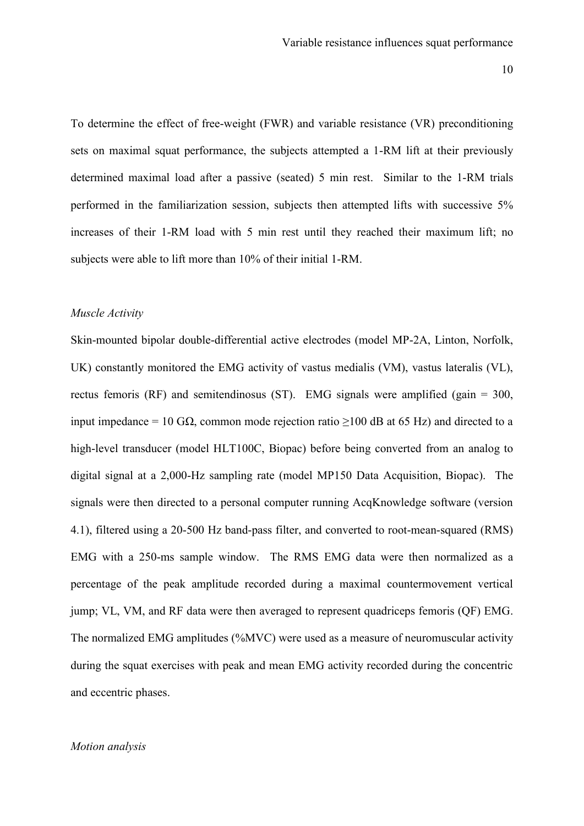To determine the effect of free-weight (FWR) and variable resistance (VR) preconditioning sets on maximal squat performance, the subjects attempted a 1-RM lift at their previously determined maximal load after a passive (seated) 5 min rest. Similar to the 1-RM trials performed in the familiarization session, subjects then attempted lifts with successive 5% increases of their 1-RM load with 5 min rest until they reached their maximum lift; no subjects were able to lift more than 10% of their initial 1-RM.

#### *Muscle Activity*

Skin-mounted bipolar double-differential active electrodes (model MP-2A, Linton, Norfolk, UK) constantly monitored the EMG activity of vastus medialis (VM), vastus lateralis (VL), rectus femoris (RF) and semitendinosus (ST). EMG signals were amplified (gain = 300, input impedance = 10 GΩ, common mode rejection ratio  $\geq$ 100 dB at 65 Hz) and directed to a high-level transducer (model HLT100C, Biopac) before being converted from an analog to digital signal at a 2,000-Hz sampling rate (model MP150 Data Acquisition, Biopac). The signals were then directed to a personal computer running AcqKnowledge software (version 4.1), filtered using a 20-500 Hz band-pass filter, and converted to root-mean-squared (RMS) EMG with a 250-ms sample window. The RMS EMG data were then normalized as a percentage of the peak amplitude recorded during a maximal countermovement vertical jump; VL, VM, and RF data were then averaged to represent quadriceps femoris (QF) EMG. The normalized EMG amplitudes (%MVC) were used as a measure of neuromuscular activity during the squat exercises with peak and mean EMG activity recorded during the concentric and eccentric phases.

# *Motion analysis*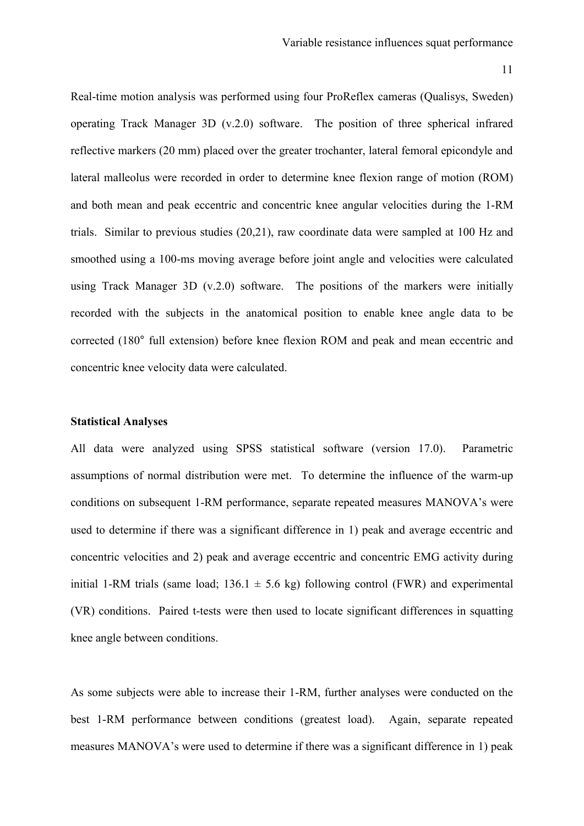Real-time motion analysis was performed using four ProReflex cameras (Qualisys, Sweden) operating Track Manager 3D (v.2.0) software. The position of three spherical infrared reflective markers (20 mm) placed over the greater trochanter, lateral femoral epicondyle and lateral malleolus were recorded in order to determine knee flexion range of motion (ROM) and both mean and peak eccentric and concentric knee angular velocities during the 1-RM trials. Similar to previous studies (20,21), raw coordinate data were sampled at 100 Hz and smoothed using a 100-ms moving average before joint angle and velocities were calculated using Track Manager 3D (v.2.0) software. The positions of the markers were initially recorded with the subjects in the anatomical position to enable knee angle data to be corrected (180° full extension) before knee flexion ROM and peak and mean eccentric and concentric knee velocity data were calculated.

#### **Statistical Analyses**

All data were analyzed using SPSS statistical software (version 17.0). Parametric assumptions of normal distribution were met. To determine the influence of the warm-up conditions on subsequent 1-RM performance, separate repeated measures MANOVA's were used to determine if there was a significant difference in 1) peak and average eccentric and concentric velocities and 2) peak and average eccentric and concentric EMG activity during initial 1-RM trials (same load;  $136.1 \pm 5.6$  kg) following control (FWR) and experimental (VR) conditions. Paired t-tests were then used to locate significant differences in squatting knee angle between conditions.

As some subjects were able to increase their 1-RM, further analyses were conducted on the best 1-RM performance between conditions (greatest load). Again, separate repeated measures MANOVA's were used to determine if there was a significant difference in 1) peak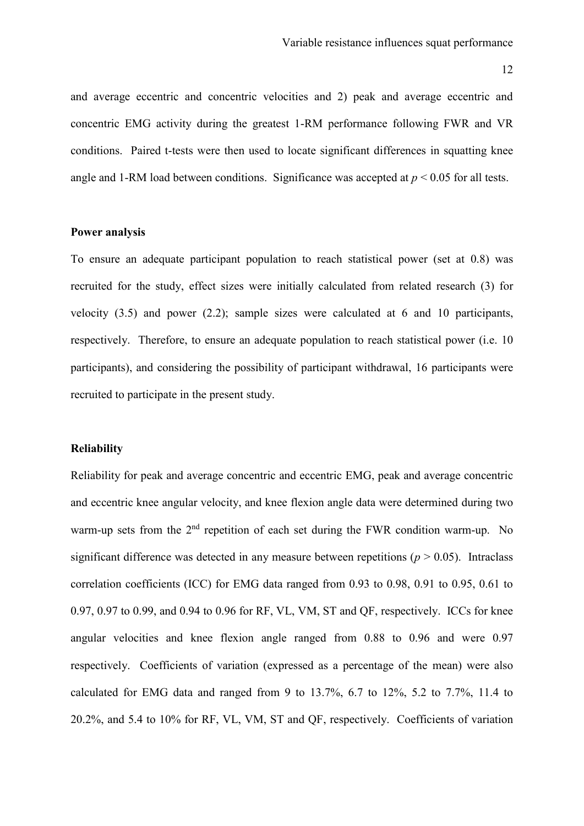and average eccentric and concentric velocities and 2) peak and average eccentric and concentric EMG activity during the greatest 1-RM performance following FWR and VR conditions. Paired t-tests were then used to locate significant differences in squatting knee angle and 1-RM load between conditions. Significance was accepted at  $p \leq 0.05$  for all tests.

# **Power analysis**

To ensure an adequate participant population to reach statistical power (set at 0.8) was recruited for the study, effect sizes were initially calculated from related research (3) for velocity (3.5) and power (2.2); sample sizes were calculated at 6 and 10 participants, respectively. Therefore, to ensure an adequate population to reach statistical power (i.e. 10 participants), and considering the possibility of participant withdrawal, 16 participants were recruited to participate in the present study.

#### **Reliability**

Reliability for peak and average concentric and eccentric EMG, peak and average concentric and eccentric knee angular velocity, and knee flexion angle data were determined during two warm-up sets from the 2<sup>nd</sup> repetition of each set during the FWR condition warm-up. No significant difference was detected in any measure between repetitions ( $p > 0.05$ ). Intraclass correlation coefficients (ICC) for EMG data ranged from 0.93 to 0.98, 0.91 to 0.95, 0.61 to 0.97, 0.97 to 0.99, and 0.94 to 0.96 for RF, VL, VM, ST and QF, respectively. ICCs for knee angular velocities and knee flexion angle ranged from 0.88 to 0.96 and were 0.97 respectively. Coefficients of variation (expressed as a percentage of the mean) were also calculated for EMG data and ranged from 9 to 13.7%, 6.7 to 12%, 5.2 to 7.7%, 11.4 to 20.2%, and 5.4 to 10% for RF, VL, VM, ST and QF, respectively. Coefficients of variation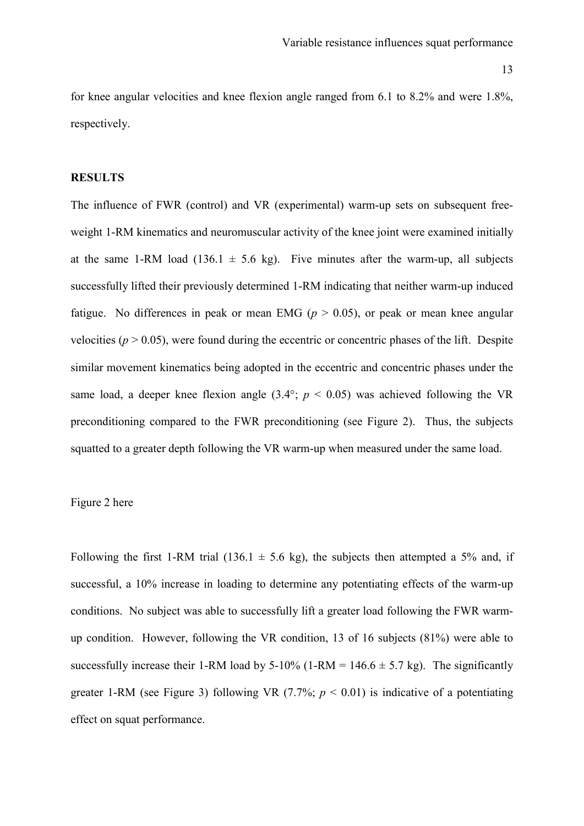for knee angular velocities and knee flexion angle ranged from 6.1 to 8.2% and were 1.8%, respectively.

# **RESULTS**

The influence of FWR (control) and VR (experimental) warm-up sets on subsequent freeweight 1-RM kinematics and neuromuscular activity of the knee joint were examined initially at the same 1-RM load (136.1  $\pm$  5.6 kg). Five minutes after the warm-up, all subjects successfully lifted their previously determined 1-RM indicating that neither warm-up induced fatigue. No differences in peak or mean EMG ( $p > 0.05$ ), or peak or mean knee angular velocities ( $p > 0.05$ ), were found during the eccentric or concentric phases of the lift. Despite similar movement kinematics being adopted in the eccentric and concentric phases under the same load, a deeper knee flexion angle  $(3.4^{\circ}; p < 0.05)$  was achieved following the VR preconditioning compared to the FWR preconditioning (see Figure 2). Thus, the subjects squatted to a greater depth following the VR warm-up when measured under the same load.

#### Figure 2 here

Following the first 1-RM trial (136.1  $\pm$  5.6 kg), the subjects then attempted a 5% and, if successful, a 10% increase in loading to determine any potentiating effects of the warm-up conditions. No subject was able to successfully lift a greater load following the FWR warmup condition. However, following the VR condition, 13 of 16 subjects (81%) were able to successfully increase their 1-RM load by  $5-10\%$  (1-RM = 146.6  $\pm$  5.7 kg). The significantly greater 1-RM (see Figure 3) following VR  $(7.7\%; p < 0.01)$  is indicative of a potentiating effect on squat performance.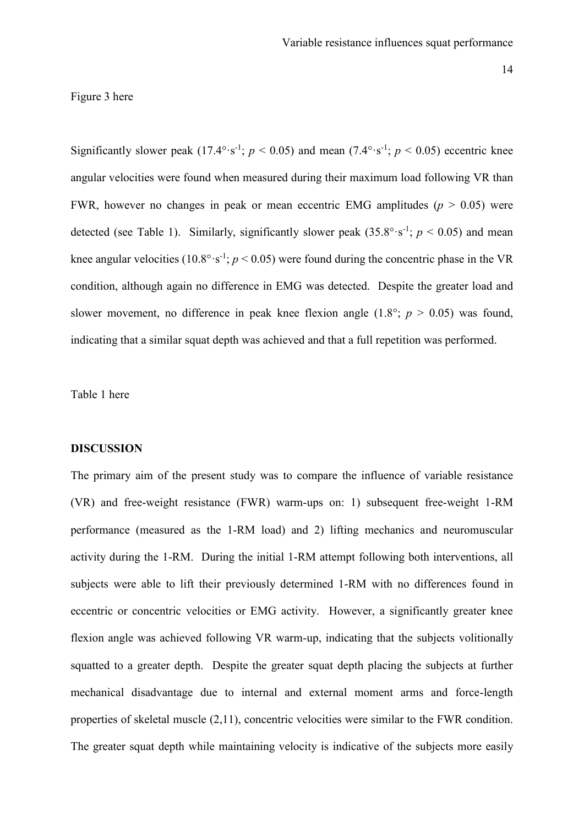Figure 3 here

Significantly slower peak  $(17.4^{\circ} \cdot s^{-1}; p < 0.05)$  and mean  $(7.4^{\circ} \cdot s^{-1}; p < 0.05)$  eccentric knee angular velocities were found when measured during their maximum load following VR than FWR, however no changes in peak or mean eccentric EMG amplitudes  $(p > 0.05)$  were detected (see Table 1). Similarly, significantly slower peak  $(35.8^{\circ} \cdot s^{-1}; p < 0.05)$  and mean knee angular velocities ( $10.8^{\circ} \cdot s^{-1}$ ;  $p < 0.05$ ) were found during the concentric phase in the VR condition, although again no difference in EMG was detected. Despite the greater load and slower movement, no difference in peak knee flexion angle  $(1.8^{\circ}; p > 0.05)$  was found, indicating that a similar squat depth was achieved and that a full repetition was performed.

# Table 1 here

#### **DISCUSSION**

The primary aim of the present study was to compare the influence of variable resistance (VR) and free-weight resistance (FWR) warm-ups on: 1) subsequent free-weight 1-RM performance (measured as the 1-RM load) and 2) lifting mechanics and neuromuscular activity during the 1-RM. During the initial 1-RM attempt following both interventions, all subjects were able to lift their previously determined 1-RM with no differences found in eccentric or concentric velocities or EMG activity. However, a significantly greater knee flexion angle was achieved following VR warm-up, indicating that the subjects volitionally squatted to a greater depth. Despite the greater squat depth placing the subjects at further mechanical disadvantage due to internal and external moment arms and force-length properties of skeletal muscle (2,11), concentric velocities were similar to the FWR condition. The greater squat depth while maintaining velocity is indicative of the subjects more easily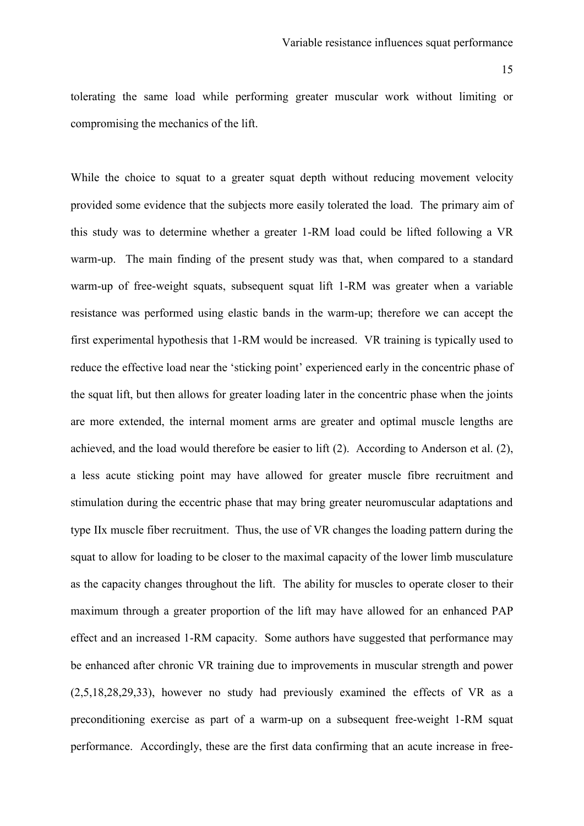tolerating the same load while performing greater muscular work without limiting or compromising the mechanics of the lift.

While the choice to squat to a greater squat depth without reducing movement velocity provided some evidence that the subjects more easily tolerated the load. The primary aim of this study was to determine whether a greater 1-RM load could be lifted following a VR warm-up. The main finding of the present study was that, when compared to a standard warm-up of free-weight squats, subsequent squat lift 1-RM was greater when a variable resistance was performed using elastic bands in the warm-up; therefore we can accept the first experimental hypothesis that 1-RM would be increased. VR training is typically used to reduce the effective load near the 'sticking point' experienced early in the concentric phase of the squat lift, but then allows for greater loading later in the concentric phase when the joints are more extended, the internal moment arms are greater and optimal muscle lengths are achieved, and the load would therefore be easier to lift (2). According to Anderson et al. (2), a less acute sticking point may have allowed for greater muscle fibre recruitment and stimulation during the eccentric phase that may bring greater neuromuscular adaptations and type IIx muscle fiber recruitment. Thus, the use of VR changes the loading pattern during the squat to allow for loading to be closer to the maximal capacity of the lower limb musculature as the capacity changes throughout the lift. The ability for muscles to operate closer to their maximum through a greater proportion of the lift may have allowed for an enhanced PAP effect and an increased 1-RM capacity. Some authors have suggested that performance may be enhanced after chronic VR training due to improvements in muscular strength and power (2,5,18,28,29,33), however no study had previously examined the effects of VR as a preconditioning exercise as part of a warm-up on a subsequent free-weight 1-RM squat performance. Accordingly, these are the first data confirming that an acute increase in free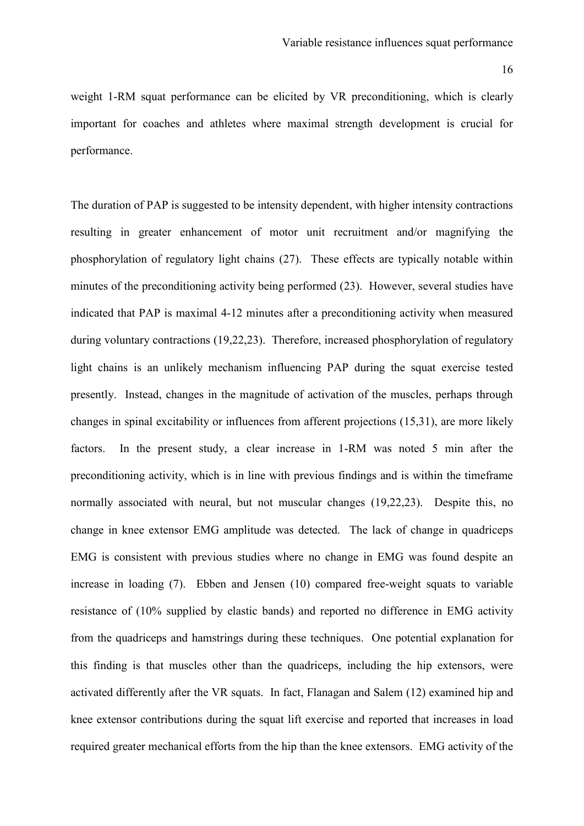weight 1-RM squat performance can be elicited by VR preconditioning, which is clearly important for coaches and athletes where maximal strength development is crucial for performance.

The duration of PAP is suggested to be intensity dependent, with higher intensity contractions resulting in greater enhancement of motor unit recruitment and/or magnifying the phosphorylation of regulatory light chains (27). These effects are typically notable within minutes of the preconditioning activity being performed (23). However, several studies have indicated that PAP is maximal 4-12 minutes after a preconditioning activity when measured during voluntary contractions (19,22,23). Therefore, increased phosphorylation of regulatory light chains is an unlikely mechanism influencing PAP during the squat exercise tested presently. Instead, changes in the magnitude of activation of the muscles, perhaps through changes in spinal excitability or influences from afferent projections (15,31), are more likely factors. In the present study, a clear increase in 1-RM was noted 5 min after the preconditioning activity, which is in line with previous findings and is within the timeframe normally associated with neural, but not muscular changes (19,22,23). Despite this, no change in knee extensor EMG amplitude was detected. The lack of change in quadriceps EMG is consistent with previous studies where no change in EMG was found despite an increase in loading (7). Ebben and Jensen (10) compared free-weight squats to variable resistance of (10% supplied by elastic bands) and reported no difference in EMG activity from the quadriceps and hamstrings during these techniques. One potential explanation for this finding is that muscles other than the quadriceps, including the hip extensors, were activated differently after the VR squats. In fact, Flanagan and Salem (12) examined hip and knee extensor contributions during the squat lift exercise and reported that increases in load required greater mechanical efforts from the hip than the knee extensors. EMG activity of the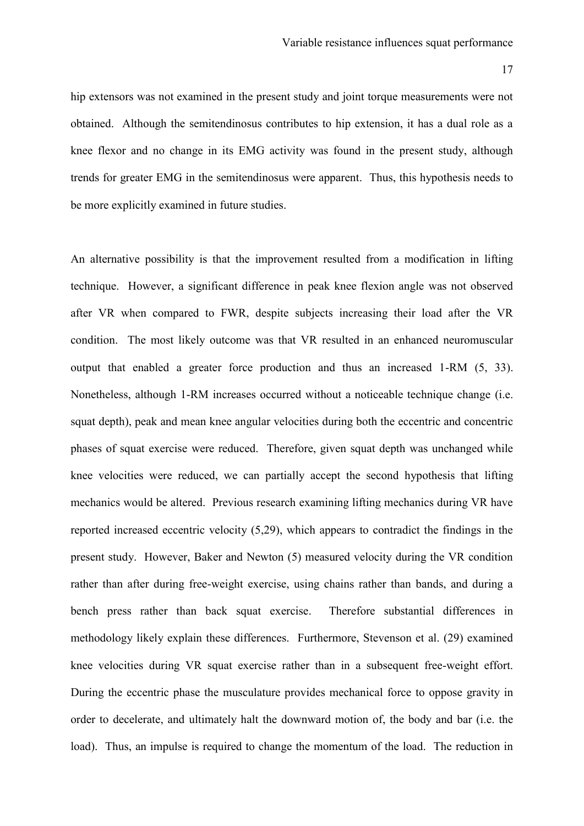hip extensors was not examined in the present study and joint torque measurements were not obtained. Although the semitendinosus contributes to hip extension, it has a dual role as a knee flexor and no change in its EMG activity was found in the present study, although trends for greater EMG in the semitendinosus were apparent. Thus, this hypothesis needs to be more explicitly examined in future studies.

An alternative possibility is that the improvement resulted from a modification in lifting technique. However, a significant difference in peak knee flexion angle was not observed after VR when compared to FWR, despite subjects increasing their load after the VR condition. The most likely outcome was that VR resulted in an enhanced neuromuscular output that enabled a greater force production and thus an increased 1-RM (5, 33). Nonetheless, although 1-RM increases occurred without a noticeable technique change (i.e. squat depth), peak and mean knee angular velocities during both the eccentric and concentric phases of squat exercise were reduced. Therefore, given squat depth was unchanged while knee velocities were reduced, we can partially accept the second hypothesis that lifting mechanics would be altered. Previous research examining lifting mechanics during VR have reported increased eccentric velocity (5,29), which appears to contradict the findings in the present study. However, Baker and Newton (5) measured velocity during the VR condition rather than after during free-weight exercise, using chains rather than bands, and during a bench press rather than back squat exercise. Therefore substantial differences in methodology likely explain these differences. Furthermore, Stevenson et al. (29) examined knee velocities during VR squat exercise rather than in a subsequent free-weight effort. During the eccentric phase the musculature provides mechanical force to oppose gravity in order to decelerate, and ultimately halt the downward motion of, the body and bar (i.e. the load). Thus, an impulse is required to change the momentum of the load. The reduction in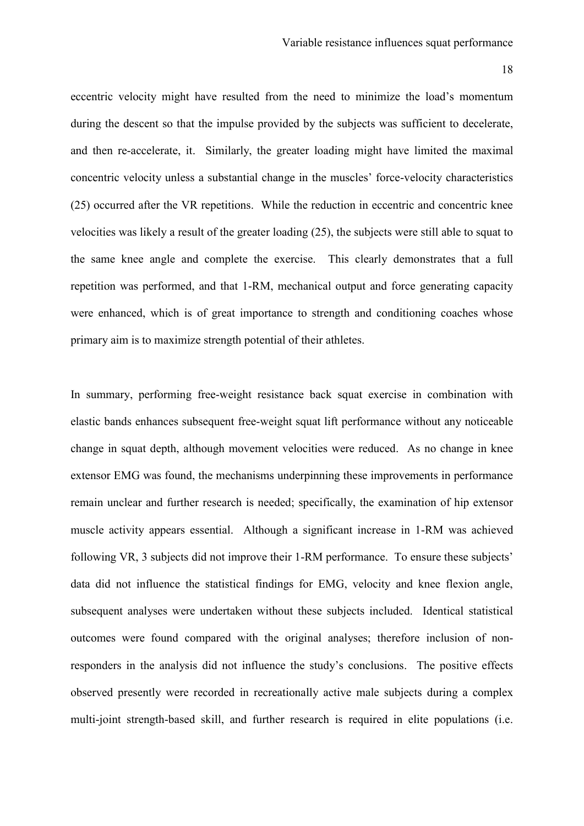eccentric velocity might have resulted from the need to minimize the load's momentum during the descent so that the impulse provided by the subjects was sufficient to decelerate, and then re-accelerate, it. Similarly, the greater loading might have limited the maximal concentric velocity unless a substantial change in the muscles' force-velocity characteristics (25) occurred after the VR repetitions. While the reduction in eccentric and concentric knee velocities was likely a result of the greater loading (25), the subjects were still able to squat to the same knee angle and complete the exercise. This clearly demonstrates that a full repetition was performed, and that 1-RM, mechanical output and force generating capacity were enhanced, which is of great importance to strength and conditioning coaches whose primary aim is to maximize strength potential of their athletes.

In summary, performing free-weight resistance back squat exercise in combination with elastic bands enhances subsequent free-weight squat lift performance without any noticeable change in squat depth, although movement velocities were reduced. As no change in knee extensor EMG was found, the mechanisms underpinning these improvements in performance remain unclear and further research is needed; specifically, the examination of hip extensor muscle activity appears essential. Although a significant increase in 1-RM was achieved following VR, 3 subjects did not improve their 1-RM performance. To ensure these subjects' data did not influence the statistical findings for EMG, velocity and knee flexion angle, subsequent analyses were undertaken without these subjects included. Identical statistical outcomes were found compared with the original analyses; therefore inclusion of nonresponders in the analysis did not influence the study's conclusions. The positive effects observed presently were recorded in recreationally active male subjects during a complex multi-joint strength-based skill, and further research is required in elite populations (i.e.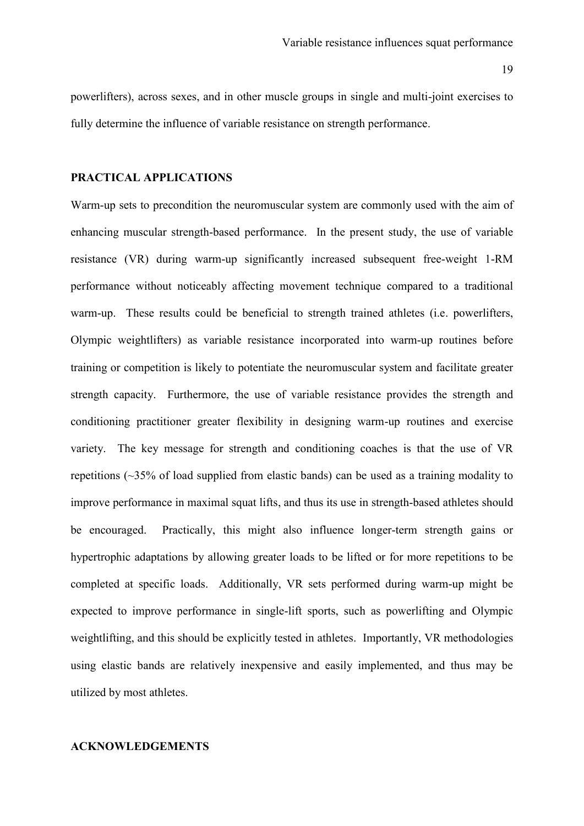powerlifters), across sexes, and in other muscle groups in single and multi-joint exercises to fully determine the influence of variable resistance on strength performance.

# **PRACTICAL APPLICATIONS**

Warm-up sets to precondition the neuromuscular system are commonly used with the aim of enhancing muscular strength-based performance. In the present study, the use of variable resistance (VR) during warm-up significantly increased subsequent free-weight 1-RM performance without noticeably affecting movement technique compared to a traditional warm-up. These results could be beneficial to strength trained athletes (i.e. powerlifters, Olympic weightlifters) as variable resistance incorporated into warm-up routines before training or competition is likely to potentiate the neuromuscular system and facilitate greater strength capacity. Furthermore, the use of variable resistance provides the strength and conditioning practitioner greater flexibility in designing warm-up routines and exercise variety. The key message for strength and conditioning coaches is that the use of VR repetitions (~35% of load supplied from elastic bands) can be used as a training modality to improve performance in maximal squat lifts, and thus its use in strength-based athletes should be encouraged. Practically, this might also influence longer-term strength gains or hypertrophic adaptations by allowing greater loads to be lifted or for more repetitions to be completed at specific loads. Additionally, VR sets performed during warm-up might be expected to improve performance in single-lift sports, such as powerlifting and Olympic weightlifting, and this should be explicitly tested in athletes. Importantly, VR methodologies using elastic bands are relatively inexpensive and easily implemented, and thus may be utilized by most athletes.

# **ACKNOWLEDGEMENTS**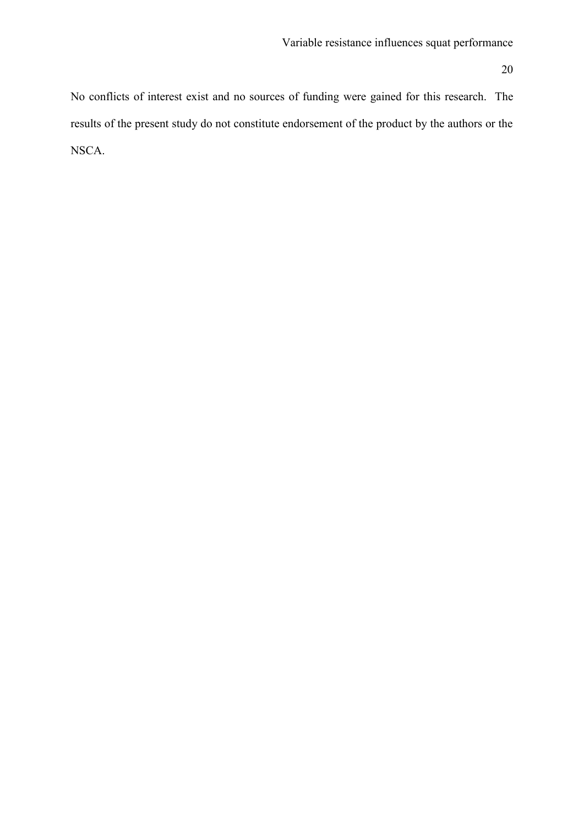No conflicts of interest exist and no sources of funding were gained for this research. The results of the present study do not constitute endorsement of the product by the authors or the NSCA.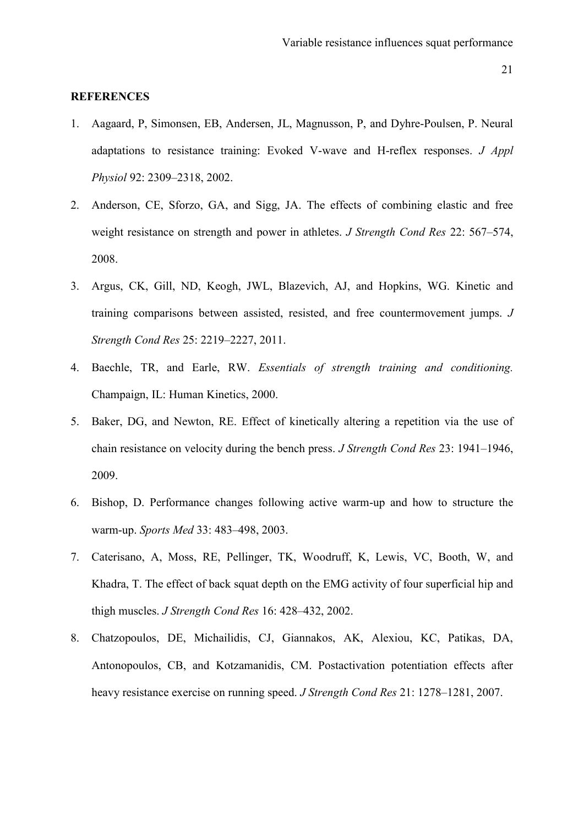#### **REFERENCES**

- 1. Aagaard, P, Simonsen, EB, Andersen, JL, Magnusson, P, and Dyhre-Poulsen, P. Neural adaptations to resistance training: Evoked V-wave and H-reflex responses. *J Appl Physiol* 92: 2309–2318, 2002.
- 2. Anderson, CE, Sforzo, GA, and Sigg, JA. The effects of combining elastic and free weight resistance on strength and power in athletes. *J Strength Cond Res* 22: 567–574, 2008.
- 3. Argus, CK, Gill, ND, Keogh, JWL, Blazevich, AJ, and Hopkins, WG. Kinetic and training comparisons between assisted, resisted, and free countermovement jumps. *J Strength Cond Res* 25: 2219–2227, 2011.
- 4. Baechle, TR, and Earle, RW. *Essentials of strength training and conditioning.* Champaign, IL: Human Kinetics, 2000.
- 5. Baker, DG, and Newton, RE. Effect of kinetically altering a repetition via the use of chain resistance on velocity during the bench press. *J Strength Cond Res* 23: 1941–1946, 2009.
- 6. Bishop, D. Performance changes following active warm-up and how to structure the warm-up. *Sports Med* 33: 483–498, 2003.
- 7. Caterisano, A, Moss, RE, Pellinger, TK, Woodruff, K, Lewis, VC, Booth, W, and Khadra, T. The effect of back squat depth on the EMG activity of four superficial hip and thigh muscles. *J Strength Cond Res* 16: 428–432, 2002.
- 8. Chatzopoulos, DE, Michailidis, CJ, Giannakos, AK, Alexiou, KC, Patikas, DA, Antonopoulos, CB, and Kotzamanidis, CM. Postactivation potentiation effects after heavy resistance exercise on running speed. *J Strength Cond Res* 21: 1278–1281, 2007.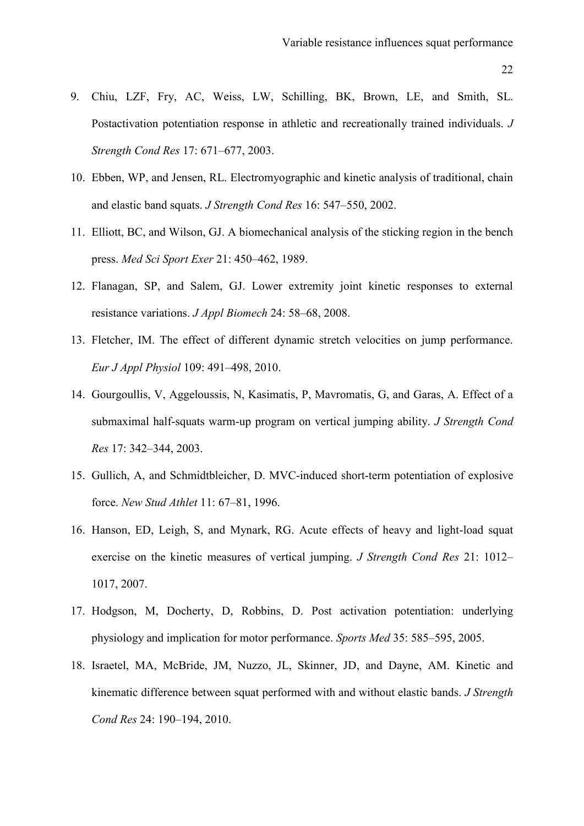- 22
- 9. Chiu, LZF, Fry, AC, Weiss, LW, Schilling, BK, Brown, LE, and Smith, SL. Postactivation potentiation response in athletic and recreationally trained individuals. *J Strength Cond Res* 17: 671–677, 2003.
- 10. Ebben, WP, and Jensen, RL. Electromyographic and kinetic analysis of traditional, chain and elastic band squats. *J Strength Cond Res* 16: 547–550, 2002.
- 11. Elliott, BC, and Wilson, GJ. A biomechanical analysis of the sticking region in the bench press. *Med Sci Sport Exer* 21: 450–462, 1989.
- 12. Flanagan, SP, and Salem, GJ. Lower extremity joint kinetic responses to external resistance variations. *J Appl Biomech* 24: 58–68, 2008.
- 13. Fletcher, IM. The effect of different dynamic stretch velocities on jump performance. *Eur J Appl Physiol* 109: 491–498, 2010.
- 14. Gourgoullis, V, Aggeloussis, N, Kasimatis, P, Mavromatis, G, and Garas, A. Effect of a submaximal half-squats warm-up program on vertical jumping ability. *J Strength Cond Res* 17: 342–344, 2003.
- 15. Gullich, A, and Schmidtbleicher, D. MVC-induced short-term potentiation of explosive force. *New Stud Athlet* 11: 67–81, 1996.
- 16. Hanson, ED, Leigh, S, and Mynark, RG. Acute effects of heavy and light-load squat exercise on the kinetic measures of vertical jumping. *J Strength Cond Res* 21: 1012– 1017, 2007.
- 17. Hodgson, M, Docherty, D, Robbins, D. Post activation potentiation: underlying physiology and implication for motor performance. *Sports Med* 35: 585–595, 2005.
- 18. Israetel, MA, McBride, JM, Nuzzo, JL, Skinner, JD, and Dayne, AM. Kinetic and kinematic difference between squat performed with and without elastic bands. *J Strength Cond Res* 24: 190–194, 2010.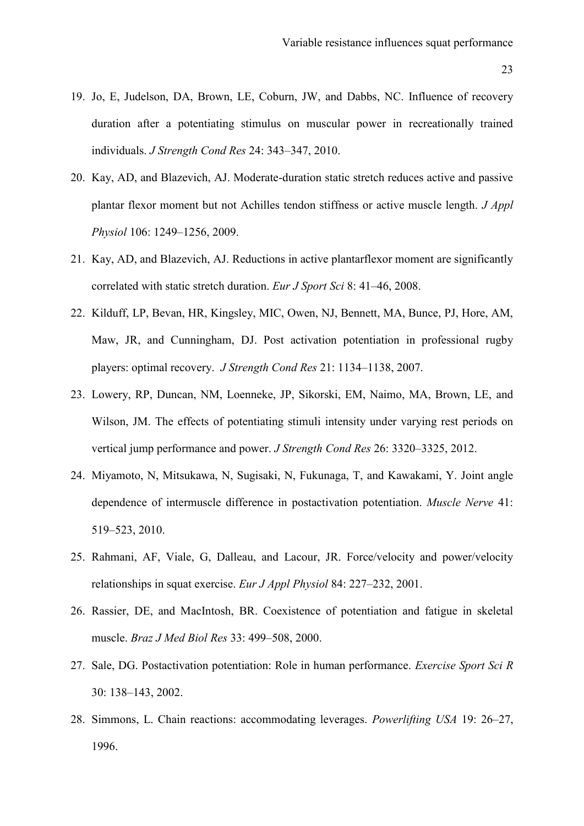- 19. Jo, E, Judelson, DA, Brown, LE, Coburn, JW, and Dabbs, NC. Influence of recovery duration after a potentiating stimulus on muscular power in recreationally trained individuals. *J Strength Cond Res* 24: 343–347, 2010.
- 20. Kay, AD, and Blazevich, AJ. Moderate-duration static stretch reduces active and passive plantar flexor moment but not Achilles tendon stiffness or active muscle length. *J Appl Physiol* 106: 1249–1256, 2009.
- 21. Kay, AD, and Blazevich, AJ. Reductions in active plantarflexor moment are significantly correlated with static stretch duration. *Eur J Sport Sci* 8: 41–46, 2008.
- 22. Kilduff, LP, Bevan, HR, Kingsley, MIC, Owen, NJ, Bennett, MA, Bunce, PJ, Hore, AM, Maw, JR, and Cunningham, DJ. Post activation potentiation in professional rugby players: optimal recovery. *J Strength Cond Res* 21: 1134–1138, 2007.
- 23. Lowery, RP, Duncan, NM, Loenneke, JP, Sikorski, EM, Naimo, MA, Brown, LE, and Wilson, JM. The effects of potentiating stimuli intensity under varying rest periods on vertical jump performance and power. *J Strength Cond Res* 26: 3320–3325, 2012.
- 24. Miyamoto, N, Mitsukawa, N, Sugisaki, N, Fukunaga, T, and Kawakami, Y. Joint angle dependence of intermuscle difference in postactivation potentiation. *Muscle Nerve* 41: 519–523, 2010.
- 25. Rahmani, AF, Viale, G, Dalleau, and Lacour, JR. Force/velocity and power/velocity relationships in squat exercise. *Eur J Appl Physiol* 84: 227–232, 2001.
- 26. Rassier, DE, and MacIntosh, BR. Coexistence of potentiation and fatigue in skeletal muscle. *Braz J Med Biol Res* 33: 499–508, 2000.
- 27. Sale, DG. Postactivation potentiation: Role in human performance. *Exercise Sport Sci R* 30: 138–143, 2002.
- 28. Simmons, L. Chain reactions: accommodating leverages. *Powerlifting USA* 19: 26–27, 1996.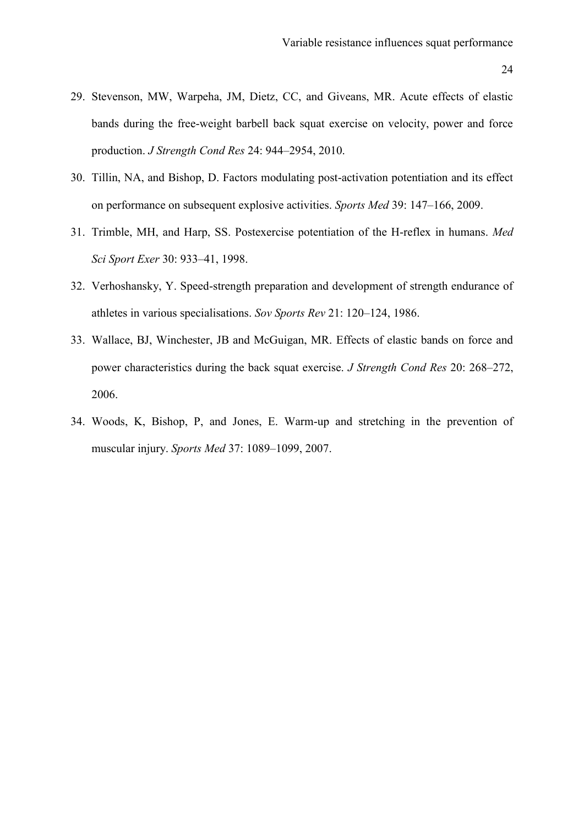- 29. Stevenson, MW, Warpeha, JM, Dietz, CC, and Giveans, MR. Acute effects of elastic bands during the free-weight barbell back squat exercise on velocity, power and force production. *J Strength Cond Res* 24: 944–2954, 2010.
- 30. Tillin, NA, and Bishop, D. Factors modulating post-activation potentiation and its effect on performance on subsequent explosive activities. *Sports Med* 39: 147–166, 2009.
- 31. Trimble, MH, and Harp, SS. Postexercise potentiation of the H-reflex in humans. *Med Sci Sport Exer* 30: 933–41, 1998.
- 32. Verhoshansky, Y. Speed-strength preparation and development of strength endurance of athletes in various specialisations. *Sov Sports Rev* 21: 120–124, 1986.
- 33. Wallace, BJ, Winchester, JB and McGuigan, MR. Effects of elastic bands on force and power characteristics during the back squat exercise. *J Strength Cond Res* 20: 268–272, 2006.
- 34. Woods, K, Bishop, P, and Jones, E. Warm-up and stretching in the prevention of muscular injury. *Sports Med* 37: 1089–1099, 2007.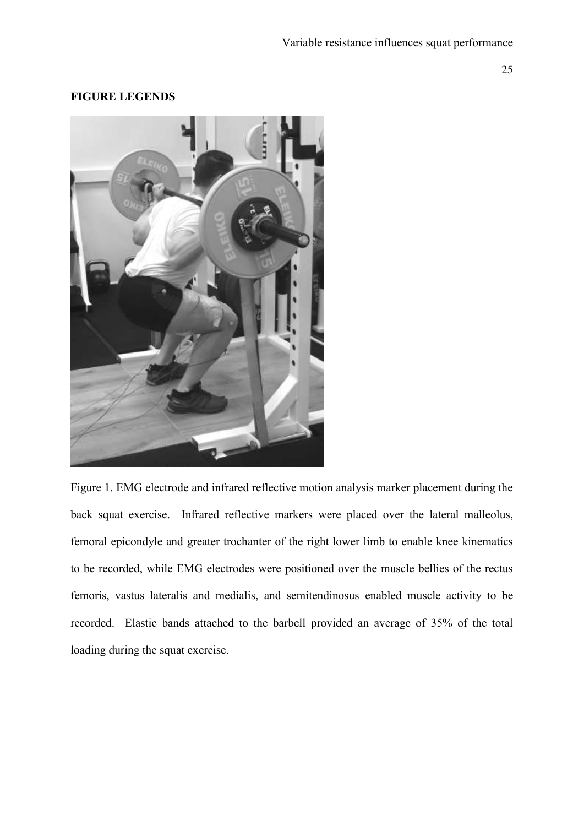# **FIGURE LEGENDS**



Figure 1. EMG electrode and infrared reflective motion analysis marker placement during the back squat exercise. Infrared reflective markers were placed over the lateral malleolus, femoral epicondyle and greater trochanter of the right lower limb to enable knee kinematics to be recorded, while EMG electrodes were positioned over the muscle bellies of the rectus femoris, vastus lateralis and medialis, and semitendinosus enabled muscle activity to be recorded. Elastic bands attached to the barbell provided an average of 35% of the total loading during the squat exercise.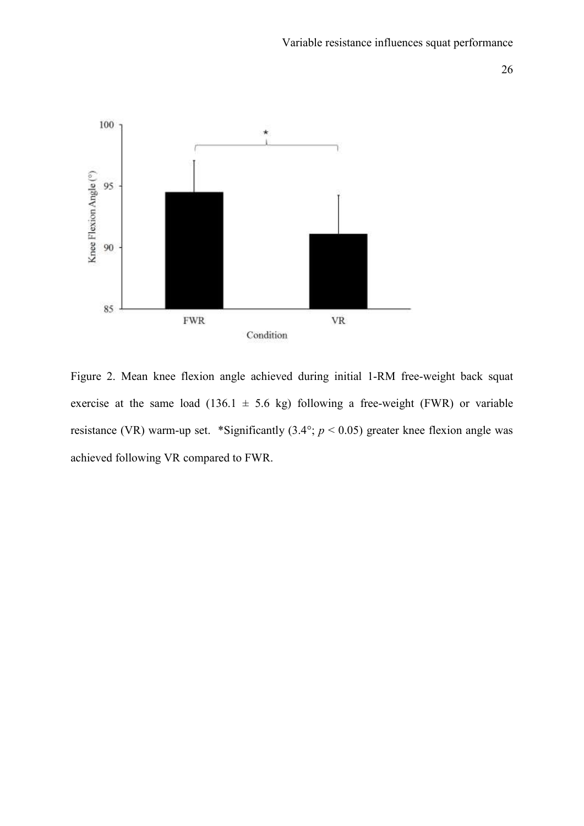

Figure 2. Mean knee flexion angle achieved during initial 1-RM free-weight back squat exercise at the same load (136.1  $\pm$  5.6 kg) following a free-weight (FWR) or variable resistance (VR) warm-up set. \*Significantly (3.4°; *p* < 0.05) greater knee flexion angle was achieved following VR compared to FWR.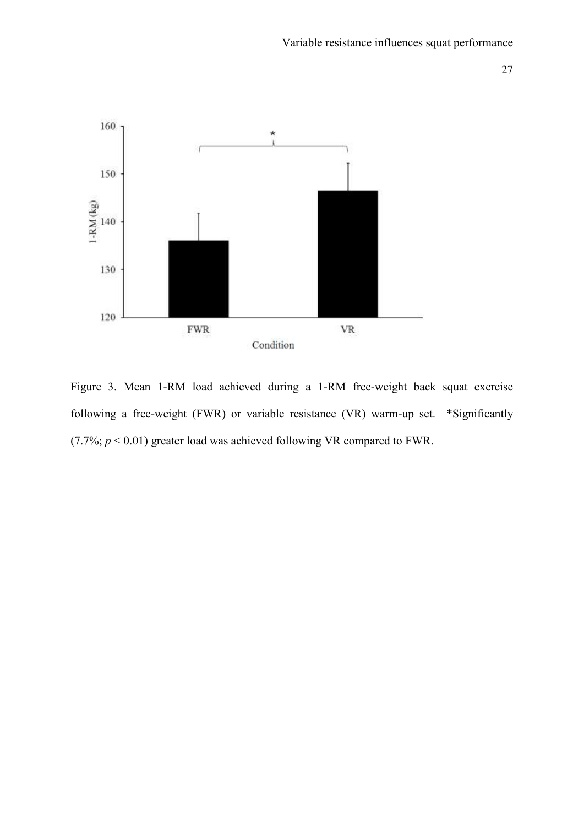



Figure 3. Mean 1-RM load achieved during a 1-RM free-weight back squat exercise following a free-weight (FWR) or variable resistance (VR) warm-up set. \*Significantly (7.7%;  $p < 0.01$ ) greater load was achieved following VR compared to FWR.